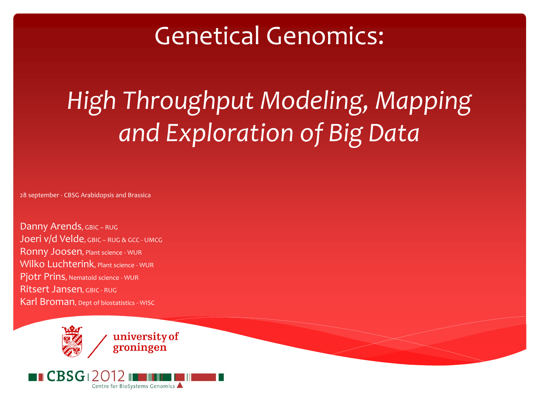### Genetical Genomics:

*High Throughput Modeling, Mapping and Exploration of Big Data*

28 september - CBSG Arabidopsis and Brassica

Danny Arends, GBIC - RUG Joeri v/d Velde, GBIC - RUG & GCC - UMCG Ronny Joosen, Plant science - WUR Wilko Luchterink, Plant science - WUR Pjotr Prins, Nematoid science - WUR Ritsert Jansen, GBIC - RUG Karl Broman, Dept of biostatistics - WISC

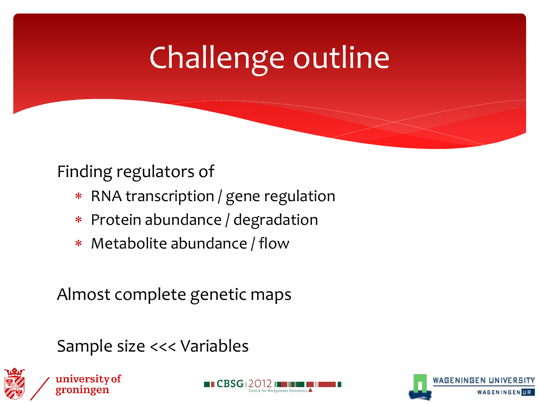## Challenge outline

### Finding regulators of

- RNA transcription / gene regulation
- Protein abundance / degradation
- Metabolite abundance / flow

### Almost complete genetic maps

Sample size <<< Variables







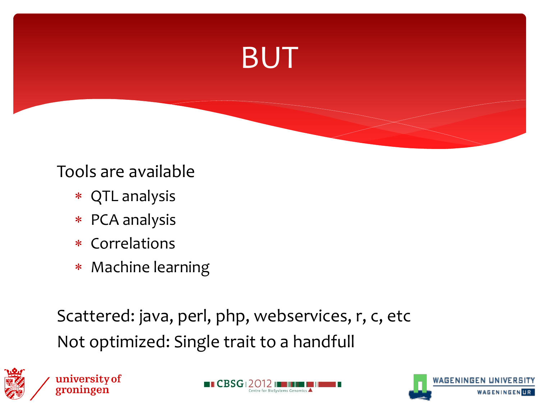

#### Tools are available

- QTL analysis
- PCA analysis
- \* Correlations
- Machine learning

Scattered: java, perl, php, webservices, r, c, etc Not optimized: Single trait to a handfull





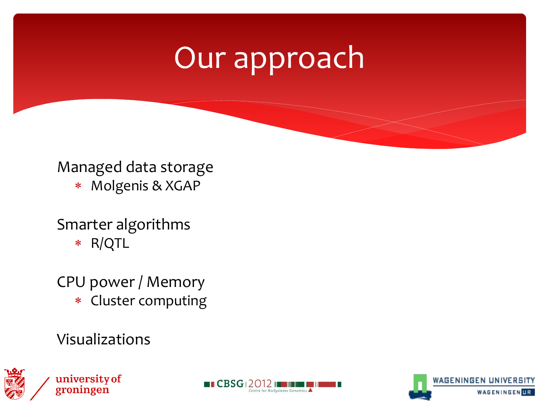### Our approach

#### Managed data storage

Molgenis & XGAP

#### Smarter algorithms

R/QTL

#### CPU power / Memory

Cluster computing

#### Visualizations





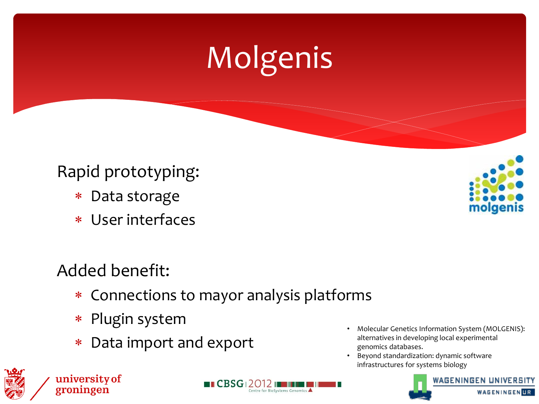# Molgenis

### Rapid prototyping:

- Data storage
- User interfaces

### Added benefit:

university of

groningen

Connections to mayor analysis platforms

 $\blacksquare$  CBSG $\blacksquare$ 2012

- Plugin system
- Data import and export
- Molecular Genetics Information System (MOLGENIS): alternatives in developing local experimental genomics databases.
- Beyond standardization: dynamic software infrastructures for systems biology





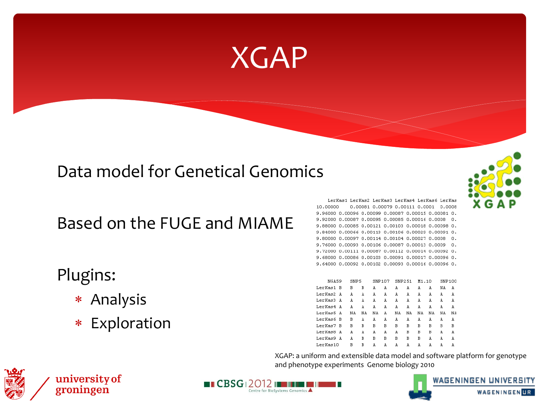### XGAP

#### Data model for Genetical Genomics

Based on the FUGE and MIAME

#### Plugins:

- Analysis
- Exploration

LerKas1 LerKas2 LerKas3 LerKas4 LerKas6 LerKas 10.00000 0.00081 0.00079 0.00111 0.0001 0.0008 9.96000 0.00096 0.00099 0.00087 0.00015 0.00081 0. 9.92000 0.00087 0.00095 0.00085 0.00016 0.0008 0. 9.88000 0.00085 0.00121 0.00103 0.00018 0.00098 0. 9.84000 0.00066 0.00113 0.00106 0.00029 0.00091 0. 9.80000 0.00097 0.00114 0.00104 0.00027 0.0008 0. 9.76000 0.00093 0.00106 0.00087 0.00013 0.0009 0. 9.72000 0.00111 0.00087 0.00112 0.00014 0.00092 0. 9.68000 0.00086 0.00103 0.00091 0.00017 0.00096 0. 9.64000 0.00092 0.00102 0.00093 0.00016 0.00096 0.

| NGA59         | SNP <sub>5</sub> |    | SNP107 |   | SNP251 |           | M1.10 |    | SNP100 |    |
|---------------|------------------|----|--------|---|--------|-----------|-------|----|--------|----|
| LerKas1<br>-B | в                | В  | A      | A | A      | À         | A     | A  | ΝA     | A  |
| LerKas2<br>A  | À                | A  | A      | А | A      | A         | À     | À  | À      | A  |
| LerKas3<br>A  | À                | A  | A      | A | A      | A         | A     | A  | A      | A  |
| LerKas4<br>A  | А                | À  | À      | А | À      | À         | А     | А  | А      | À  |
| LerKas5 A     | ΝA               | ΝA | ΝA     | A | ΝA     | <b>NA</b> | ΝA    | ΝA | NA     | ΝA |
| LerKas6<br>в  | в                | А  | À      | А | А      | А         | А     | À  | А      | À  |
| LerKas7<br>в  | В                | В  | В      | В | В      | В         | В     | В  | В      | в  |
| LerKas8<br>A  | А                | À  | À      | А | А      | B         | B     | B  | À      | À  |
| LerKas9<br>A  | À                | В  | В      | В | В      | В         | В     | À  | À      | A  |
| LerKas10      | в                | в  | А      | А | А      | À         | À     | À  | А      | А  |

XGAP: a uniform and extensible data model and software platform for genotype and phenotype experiments Genome biology 2010





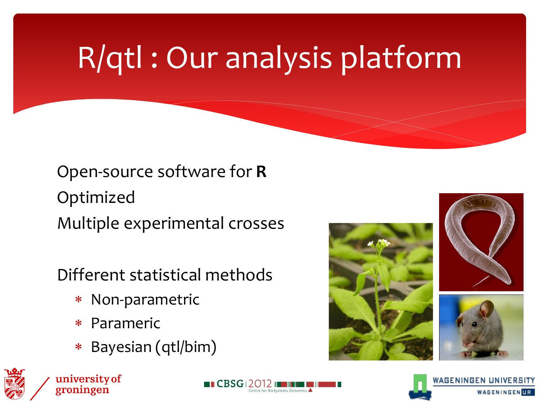# R/qtl : Our analysis platform

### Open-source software for **R** Optimized Multiple experimental crosses

### Different statistical methods

- Non-parametric
- Parameric
- Bayesian (qtl/bim)









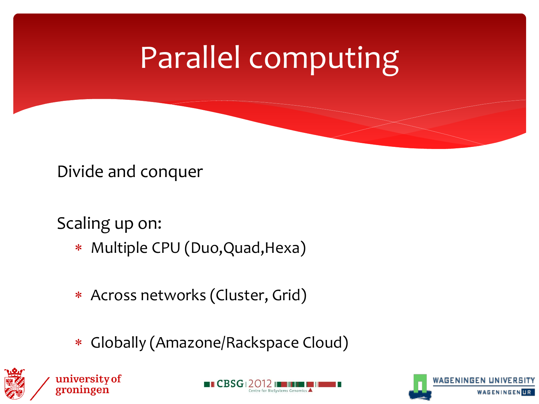### Parallel computing

Divide and conquer

Scaling up on:

- Multiple CPU (Duo,Quad,Hexa)
- Across networks (Cluster, Grid)
- Globally (Amazone/Rackspace Cloud)







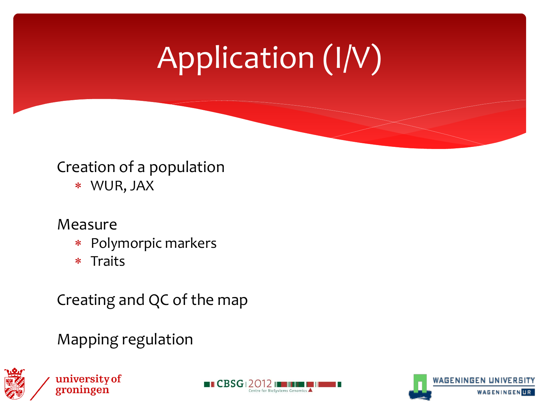# Application (I/V)

### Creation of a population

WUR, JAX

#### Measure

- Polymorpic markers
- \* Traits

Creating and QC of the map

Mapping regulation





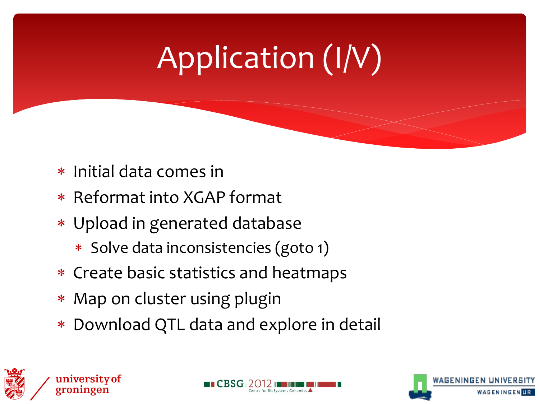# Application (I/V)

- \* Initial data comes in
- \* Reformat into XGAP format
- Upload in generated database
	- \* Solve data inconsistencies (goto 1)
- Create basic statistics and heatmaps
- \* Map on cluster using plugin
- Download QTL data and explore in detail



university of



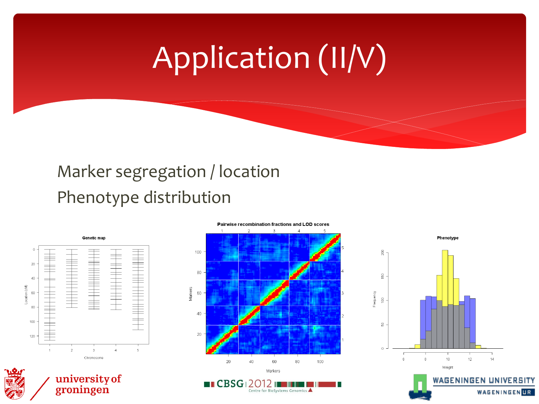## Application (II/V)

### Marker segregation / location Phenotype distribution



university of

groningen





#### Pairwise recombination fractions and LOD scores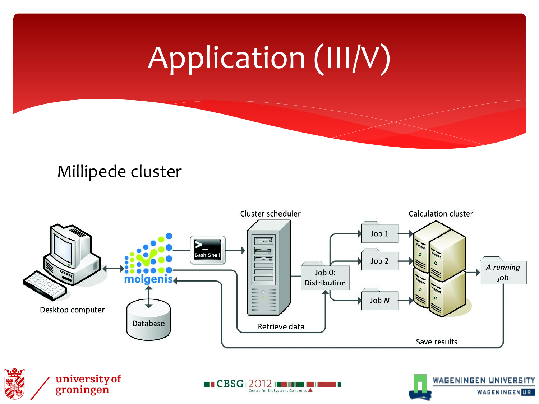## Application (III/V)

#### Millipede cluster

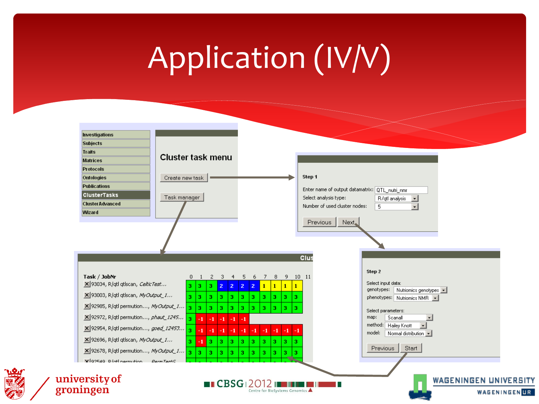## Application (IV/V)

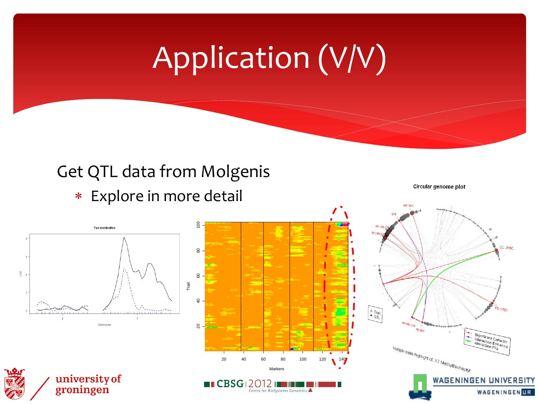## Application (V/V)

#### Get QTL data from Molgenis

Explore in more detail

Circular genome plot

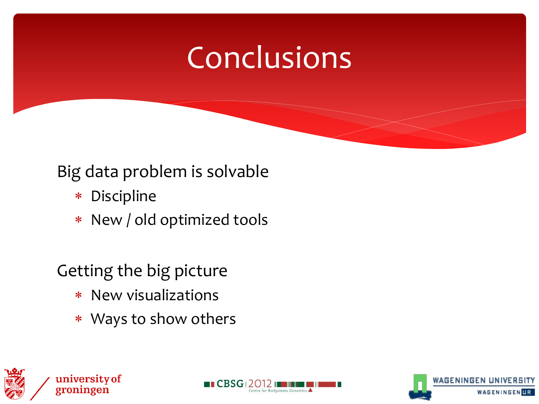### Conclusions

### Big data problem is solvable

- Discipline
- New / old optimized tools

### Getting the big picture

- New visualizations
- Ways to show others







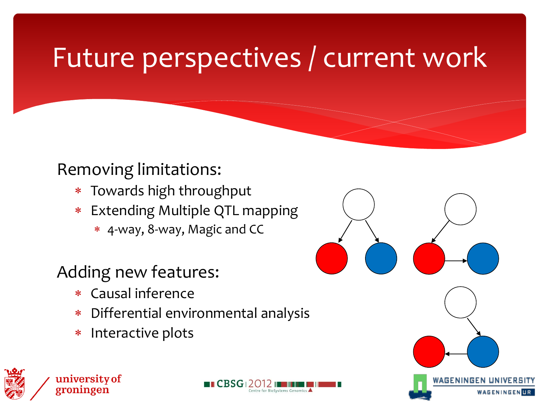### Future perspectives / current work

#### Removing limitations:

- Towards high throughput
- Extending Multiple QTL mapping
	- 4-way, 8-way, Magic and CC

### Adding new features:

- Causal inference
- Differential environmental analysis
- \* Interactive plots







WAGENINGEN

WAGENINGEN UR